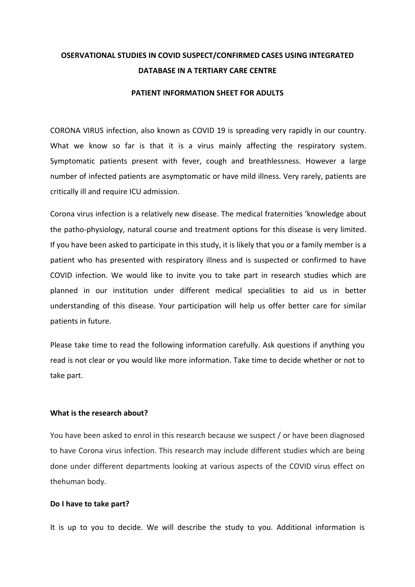# **OSERVATIONAL STUDIES IN COVID SUSPECT/CONFIRMED CASES USING INTEGRATED DATABASE IN A TERTIARY CARE CENTRE**

#### **PATIENT INFORMATION SHEET FOR ADULTS**

CORONA VIRUS infection, also known as COVID 19 is spreading very rapidly in our country. What we know so far is that it is a virus mainly affecting the respiratory system. Symptomatic patients present with fever, cough and breathlessness. However a large number of infected patients are asymptomatic or have mild illness. Very rarely, patients are critically ill and require ICU admission.

Corona virus infection is a relatively new disease. The medical fraternities 'knowledge about the patho-physiology, natural course and treatment options for this disease is very limited. If you have been asked to participate in this study, it is likely that you or a family member is a patient who has presented with respiratory illness and is suspected or confirmed to have COVID infection. We would like to invite you to take part in research studies which are planned in our institution under different medical specialities to aid us in better understanding of this disease. Your participation will help us offer better care for similar patients in future.

Please take time to read the following information carefully. Ask questions if anything you read is not clear or you would like more information. Take time to decide whether or not to take part.

#### **What is the research about?**

You have been asked to enrol in this research because we suspect / or have been diagnosed to have Corona virus infection. This research may include different studies which are being done under different departments looking at various aspects of the COVID virus effect on thehuman body.

#### **Do I have to take part?**

It is up to you to decide. We will describe the study to you. Additional information is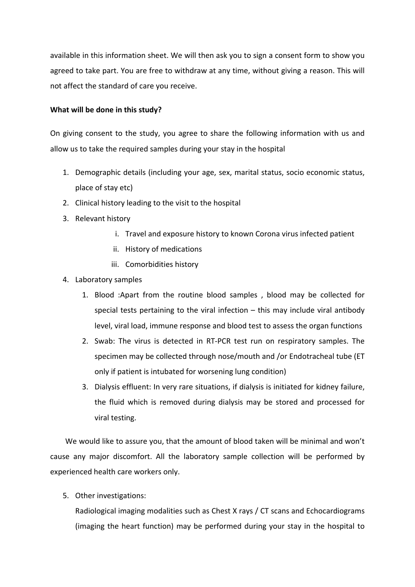available in this information sheet. We will then ask you to sign a consent form to show you agreed to take part. You are free to withdraw at any time, without giving a reason. This will not affect the standard of care you receive.

## **What will be done in this study?**

On giving consent to the study, you agree to share the following information with us and allow us to take the required samples during your stay in the hospital

- 1. Demographic details (including your age, sex, marital status, socio economic status, place of stay etc)
- 2. Clinical history leading to the visit to the hospital
- 3. Relevant history
	- i. Travel and exposure history to known Corona virus infected patient
	- ii. History of medications
	- iii. Comorbidities history
- 4. Laboratory samples
	- 1. Blood :Apart from the routine blood samples , blood may be collected for special tests pertaining to the viral infection – this may include viral antibody level, viral load, immune response and blood test to assess the organ functions
	- 2. Swab: The virus is detected in RT-PCR test run on respiratory samples. The specimen may be collected through nose/mouth and /or Endotracheal tube (ET only if patient is intubated for worsening lung condition)
	- 3. Dialysis effluent: In very rare situations, if dialysis is initiated for kidney failure, the fluid which is removed during dialysis may be stored and processed for viral testing.

 We would like to assure you, that the amount of blood taken will be minimal and won't cause any major discomfort. All the laboratory sample collection will be performed by experienced health care workers only.

5. Other investigations:

Radiological imaging modalities such as Chest X rays / CT scans and Echocardiograms (imaging the heart function) may be performed during your stay in the hospital to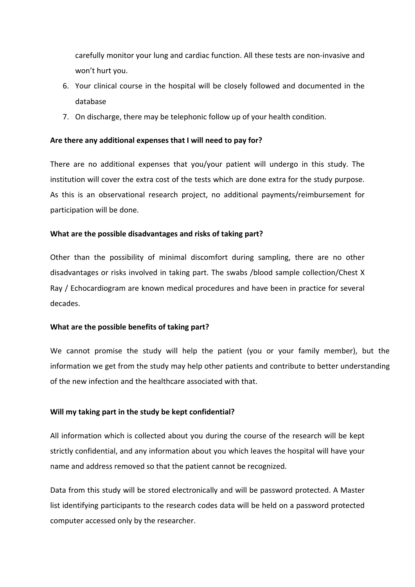carefully monitor your lung and cardiac function. All these tests are non-invasive and won't hurt you.

- 6. Your clinical course in the hospital will be closely followed and documented in the database
- 7. On discharge, there may be telephonic follow up of your health condition.

# **Are there any additional expenses that I will need to pay for?**

There are no additional expenses that you/your patient will undergo in this study. The institution will cover the extra cost of the tests which are done extra for the study purpose. As this is an observational research project, no additional payments/reimbursement for participation will be done.

# **What are the possible disadvantages and risks of taking part?**

Other than the possibility of minimal discomfort during sampling, there are no other disadvantages or risks involved in taking part. The swabs /blood sample collection/Chest X Ray / Echocardiogram are known medical procedures and have been in practice for several decades.

# **What are the possible benefits of taking part?**

We cannot promise the study will help the patient (you or your family member), but the information we get from the study may help other patients and contribute to better understanding of the new infection and the healthcare associated with that.

# **Will my taking part in the study be kept confidential?**

All information which is collected about you during the course of the research will be kept strictly confidential, and any information about you which leaves the hospital will have your name and address removed so that the patient cannot be recognized.

Data from this study will be stored electronically and will be password protected. A Master list identifying participants to the research codes data will be held on a password protected computer accessed only by the researcher.